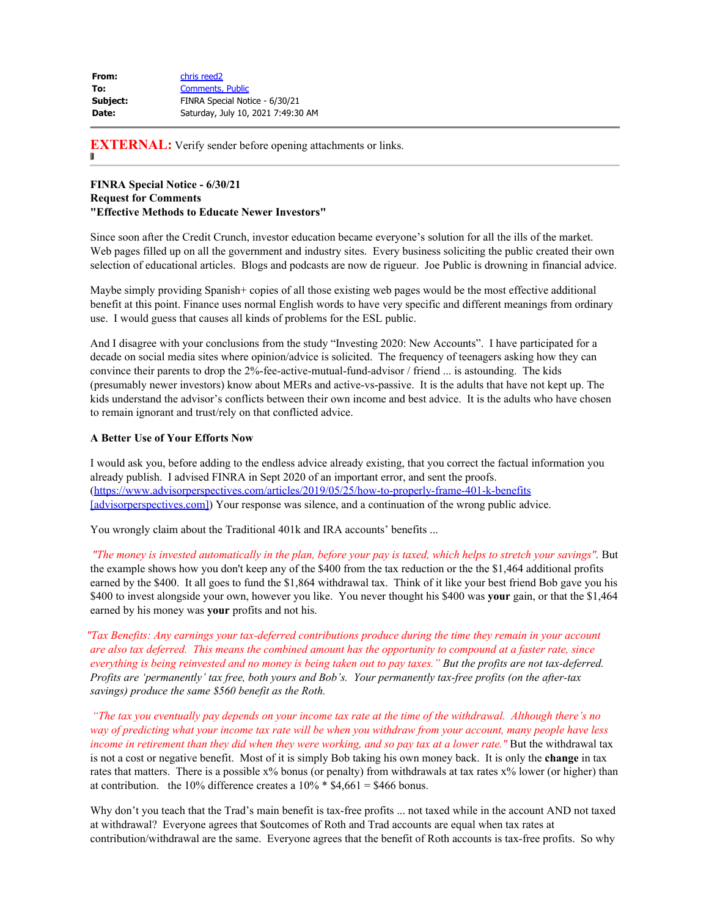| From:    | chris reed <sub>2</sub>            |
|----------|------------------------------------|
| To:      | <b>Comments, Public</b>            |
| Subject: | FINRA Special Notice - 6/30/21     |
| Date:    | Saturday, July 10, 2021 7:49:30 AM |

**EXTERNAL:** Verify sender before opening attachments or links.

## **FINRA Special Notice - 6/30/21 Request for Comments "Effective Methods to Educate Newer Investors"**

Since soon after the Credit Crunch, investor education became everyone's solution for all the ills of the market. Web pages filled up on all the government and industry sites. Every business soliciting the public created their own selection of educational articles. Blogs and podcasts are now de rigueur. Joe Public is drowning in financial advice.

Maybe simply providing Spanish+ copies of all those existing web pages would be the most effective additional benefit at this point. Finance uses normal English words to have very specific and different meanings from ordinary use. I would guess that causes all kinds of problems for the ESL public.

And I disagree with your conclusions from the study "Investing 2020: New Accounts". I have participated for a decade on social media sites where opinion/advice is solicited. The frequency of teenagers asking how they can convince their parents to drop the 2%-fee-active-mutual-fund-advisor / friend ... is astounding. The kids (presumably newer investors) know about MERs and active-vs-passive. It is the adults that have not kept up. The kids understand the advisor's conflicts between their own income and best advice. It is the adults who have chosen to remain ignorant and trust/rely on that conflicted advice.

## **A Better Use of Your Efforts Now**

I would ask you, before adding to the endless advice already existing, that you correct the factual information you already publish. I advised FINRA in Sept 2020 of an important error, and sent the proofs. (https://www.advisorperspectives.com/articles/2019/05/25/how-to-properly-frame-401-k-benefits [advisorperspectives.com]) Your response was silence, and a continuation of the wrong public advice.

You wrongly claim about the Traditional 401k and IRA accounts' benefits ...

 *"The money is invested automatically in the plan, before your pay is taxed, which helps to stretch your savings".* But the example shows how you don't keep any of the \$400 from the tax reduction or the the \$1,464 additional profits earned by the \$400. It all goes to fund the \$1,864 withdrawal tax. Think of it like your best friend Bob gave you his \$400 to invest alongside your own, however you like. You never thought his \$400 was **your** gain, or that the \$1,464 earned by his money was **your** profits and not his.

 *"Tax Benefits: Any earnings your tax-deferred contributions produce during the time they remain in your account are also tax deferred. This means the combined amount has the opportunity to compound at a faster rate, since everything is being reinvested and no money is being taken out to pay taxes." But the profits are not tax-deferred. Profits are 'permanently' tax free, both yours and Bob's. Your permanently tax-free profits (on the after-tax savings) produce the same \$560 benefit as the Roth.*

 *"The tax you eventually pay depends on your income tax rate at the time of the withdrawal. Although there's no way of predicting what your income tax rate will be when you withdraw from your account, many people have less income in retirement than they did when they were working, and so pay tax at a lower rate."* But the withdrawal tax is not a cost or negative benefit. Most of it is simply Bob taking his own money back. It is only the **change** in tax rates that matters. There is a possible  $x\%$  bonus (or penalty) from withdrawals at tax rates  $x\%$  lower (or higher) than at contribution. the 10% difference creates a  $10\%$  \* \$4,661 = \$466 bonus.

Why don't you teach that the Trad's main benefit is tax-free profits ... not taxed while in the account AND not taxed at withdrawal? Everyone agrees that \$outcomes of Roth and Trad accounts are equal when tax rates at contribution/withdrawal are the same. Everyone agrees that the benefit of Roth accounts is tax-free profits. So why